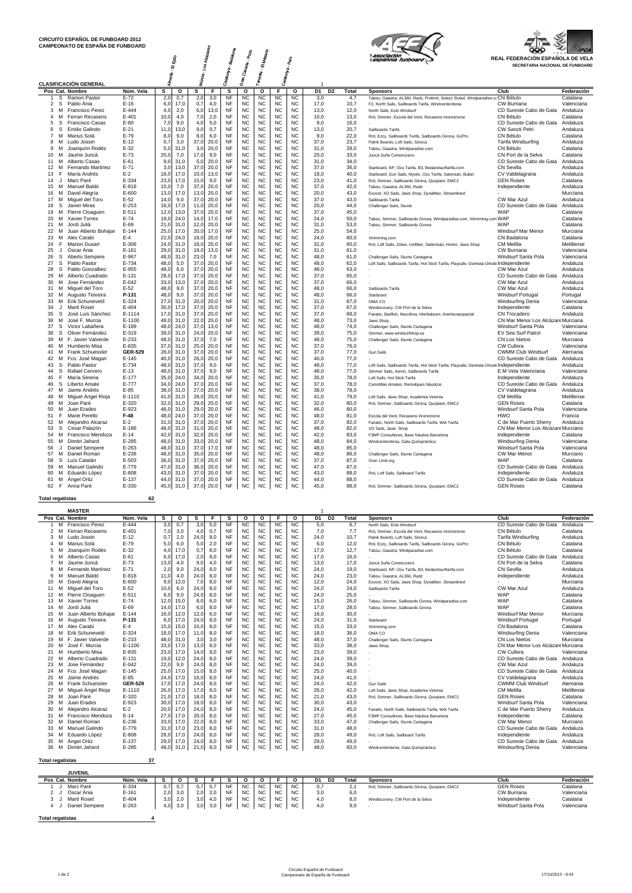



| CAMPEONATO DE ESPANA DE FUNDOARD                   |                        |                 |              |                 |              |                        |                             |                        |                        |                        |                                  |              |                                                                                                                                        | ශන                                         | <b>AFCA</b>            |
|----------------------------------------------------|------------------------|-----------------|--------------|-----------------|--------------|------------------------|-----------------------------|------------------------|------------------------|------------------------|----------------------------------|--------------|----------------------------------------------------------------------------------------------------------------------------------------|--------------------------------------------|------------------------|
|                                                    |                        |                 |              |                 | Alcázanes    | . Badalo <sub>na</sub> | <sup>1</sup> Canaria - Pozo | El Médano              |                        | Pals <sup>.</sup>      |                                  |              | asociación                                                                                                                             | REAL FEDERACIÓN ESPAÑOLA DE VELA           |                        |
|                                                    |                        |                 | ūī           |                 | ر<br>ول      |                        |                             |                        |                        |                        |                                  |              |                                                                                                                                        | SECRETARIA NACIONAL DE FUNBOARD            |                        |
|                                                    |                        |                 |              |                 |              |                        |                             |                        |                        |                        |                                  |              |                                                                                                                                        |                                            |                        |
|                                                    |                        |                 | henia.       | Múrcia.         |              | Catalunya.             | G.<br>G                     | Tenerife.              | Catalunya.             |                        |                                  |              |                                                                                                                                        |                                            |                        |
| <b>CLASIFICACIÓN GENERAL</b>                       |                        |                 |              |                 |              |                        |                             |                        |                        |                        |                                  |              |                                                                                                                                        |                                            |                        |
| Pos Cat. Nombre                                    | Núm. Vela              | s               | о            | s               | F            | s                      | о                           | o                      | F<br><b>NC</b>         | о                      | D <sub>1</sub><br>D <sub>2</sub> | <b>Total</b> | <b>Sponsors</b>                                                                                                                        | Club                                       | Federación<br>Catalana |
| s<br>Ramon Pastor<br>2 S<br>Pablo Ania             | $E-72$<br>$E-16$       | 2,0<br>6.0      | 0,7<br>17.0  | 2,0<br>0.7      | 3,0<br>4.0   | NF<br><b>NF</b>        | <b>NC</b><br><b>NC</b>      | <b>NC</b><br><b>NC</b> | <b>NC</b>              | <b>NC</b><br><b>NC</b> | 3,0<br>17.0                      | 4,7<br>10.7  | Tabou, Gaastra, AL360, Radz, Prolimit, Select, Bubel, Windparadise.cc CN Bétulo<br>F2. North Sails, Sailboards Tarifa, Windcenterdenia | CW Burriana                                | Valenciana             |
| Francisco Perez<br>3<br>M                          | $E - 444$              | 4.0             | 2,0          | 6,0             | 13,0         | <b>NF</b>              | <b>NC</b>                   | <b>NC</b>              | <b>NC</b>              | <b>NC</b>              | 13.0                             | 12,0         | North Sails, Folo Windsurf                                                                                                             | CD Sureste Cabo de Gata                    | Andaluza               |
| Ferran Recasens<br>$\Delta$<br>M                   | $E - 401$              | 10,0            | 4,0          | 7,0             | 2,0          | <b>NF</b>              | <b>NC</b>                   | <b>NC</b>              | <b>NC</b>              | <b>NC</b>              | 10.0                             | 13,0         | Rrd, Simmer, Escola del Vent, Recasens Inreriorisme                                                                                    | CN Bétulo                                  | Catalana               |
| 5<br>-S<br><b>Francisco Casas</b>                  | $E-80$                 | 7,0             | 9.0          | 4,0             | 5,0          | <b>NF</b>              | <b>NC</b>                   | <b>NC</b>              | <b>NC</b>              | <b>NC</b>              | 9.0                              | 16,0         |                                                                                                                                        | CD Sureste Cabo de Gata                    | Andaluza               |
| 6<br>s<br><b>Emilio Galindo</b>                    | $E-21$                 | 11,0            | 13,0         | 9,0             | 0,7          | <b>NF</b>              | <b>NC</b>                   | <b>NC</b>              | <b>NC</b>              | <b>NC</b>              | 13,0                             | 20,7         | Sailboards Tarifa                                                                                                                      | CW Sancti Petri                            | Andaluza               |
| $\overline{7}$<br>Marius Solà<br>M                 | $E-79$                 | 8,0             | 9,0          | 8,0             | 6,0          | <b>NF</b>              | <b>NC</b>                   | <b>NC</b>              | <b>NC</b>              | <b>NC</b>              | 9.0                              | 22,0         | Rrd, Ezzy, Sailboards Tarifa, Sailboards Girona, GoPro                                                                                 | CN Bétulo                                  | Catalana               |
| 8<br>M<br>Ludo Jossin                              | $E-12$                 | 0.7             | 3.0          | 37.0            | 20.0         | <b>NF</b>              | <b>NC</b>                   | <b>NC</b>              | <b>NC</b>              | <b>NC</b>              | 37.0                             | 23.7         | Patrik Boards, Loft Sails, Söoruz                                                                                                      | Tarifa Windsurfing                         | Andaluza               |
| 9<br>M<br>Joanguím Rodés                           | $E-32$                 | 5,0             | 31.0         | 3,0             | 20,0         | <b>NF</b>              | <b>NC</b>                   | <b>NC</b>              | <b>NC</b>              | <b>NC</b>              | 31.0                             | 28,0         | Tabou, Gaastra, Windparadise.com                                                                                                       | CN Bétulo                                  | Catalana               |
| 10 <sup>1</sup><br>M<br>Jaume Juncà                | $E-73$                 | 20,0            | 7,0          | 17,0            | 9,0          | <b>NF</b>              | <b>NC</b>                   | <b>NC</b>              | <b>NC</b>              | <b>NC</b>              | 20,0                             | 33,0         | Juncà Suñe Constructors                                                                                                                | CN Port de la Selva                        | Catalana               |
| 11<br>м<br>Alberto Casas                           | $E-61$                 | 9 <sub>1</sub>  | 31,0         | 5,0             | 20,0         | <b>NF</b>              | <b>NC</b>                   | NC                     | <b>NC</b>              | <b>NC</b>              | 31.0                             | 34,0         |                                                                                                                                        | CD Sureste Cabo de Gata                    | Andaluza               |
| 12<br>M<br>Fernando Martínez                       | $E - 71$               | 3,0             | 13,0         | 37 <sub>0</sub> | 20,0         | NF                     | <b>NC</b>                   | NC                     | <b>NC</b>              | <b>NC</b>              | 37,0                             | 36,0         | Starboard, NP, Ozu Tarifa, B3, Bedandsurftarifa.com                                                                                    | <b>CN Sevilla</b>                          | Andaluza               |
| F<br>María Andrés<br>13                            | $E-2$                  | 18,0            | 17,0         | 10,0            | 13,0         | <b>NF</b>              | <b>NC</b>                   | <b>NC</b>              | <b>NC</b>              | <b>NC</b>              | 18.0                             | 40.0         | Starboard, Gun Sails, Mystic, Ozu Tarifa, Satorisan, Bubel                                                                             | CV Valdelagrana                            | Andaluza               |
| 14<br>$\mathbf{J}$<br>Marc Paré                    | $E - 334$              | 23.0            | 17.0         | 15.0            | 9.0          | <b>NF</b>              | <b>NC</b>                   | <b>NC</b>              | <b>NC</b>              | <b>NC</b>              | 23.0                             | 41.0         | Rrd. Simmer. Sailboards Girona. Quopiam. EMC2                                                                                          | <b>GEN Roses</b>                           | Catalana               |
| 15<br>M<br>Manuel Baldó                            | $E - 818$              | 15 <sub>c</sub> | 7,0          | 37.0            | 20.0         | <b>NF</b>              | <b>NC</b>                   | <b>NC</b>              | <b>NC</b>              | <b>NC</b>              | 37.0                             | 42.0         | Tabou, Gaastra, AL360, Radz                                                                                                            | Independiente                              | Andaluza               |
| M<br>David Alegría<br>16                           | $F - 600$              | 13,0            | 17.0         | 13,0            | 20,0         | <b>NF</b>              | <b>NC</b>                   | <b>NC</b>              | <b>NC</b>              | N <sub>C</sub>         | 20.0                             | 43.0         | Exocet, XO Sails, Jaws Shop, Dynafiber, Streamlined                                                                                    |                                            | Murciana               |
| 17<br>Miguel del Toro<br>M                         | $E-52$                 | 14,0            | 9,0          | 37,0            | 20,0         | <b>NF</b><br><b>NF</b> | <b>NC</b>                   | <b>NC</b><br><b>NC</b> | <b>NC</b>              | <b>NC</b>              | 37,0                             | 43,0         | Sailboards Tarifa                                                                                                                      | CW Mar Azul                                | Andaluza               |
| 18<br>s<br>Javier Miras<br>19<br>м                 | $E - 253$<br>$E - 511$ | 16,0            | 17,0         | 11,0            | 20,0         | <b>NF</b>              | <b>NC</b><br><b>NC</b>      | <b>NC</b>              | <b>NC</b><br><b>NC</b> | <b>NC</b><br>NC.       | 20,0<br>37.0                     | 44,0         | Challenger Sails, Stunts                                                                                                               | CD Sureste Cabo de Gata<br>WAP             | Andaluza<br>Catalana   |
| Pierre Cloaguen<br>20<br>М<br><b>Xavier Torres</b> | $E-74$                 | 12,0<br>19,0    | 13,0<br>24,0 | 37,0<br>14,0    | 20,0<br>17,0 | <b>NF</b>              | <b>NC</b>                   | <b>NC</b>              | <b>NC</b>              | <b>NC</b>              | 24,0                             | 45,0<br>50,0 | Tabou, Simmer, Sailboards Girona, Windparadise.com, Xtrimming.com WAP                                                                  |                                            | Catalana               |
| Jordi Julià<br>21<br>м                             | $E-69$                 | 21,0            | 31.0         | 12,0            | 20,0         | <b>NF</b>              | <b>NC</b>                   | <b>NC</b>              | <b>NC</b>              | <b>NC</b>              | 31.0                             | 53.0         | Tabou, Simmer, Sailboards Girona                                                                                                       | WAP                                        | Catalana               |
| 22<br>Juan Alberto Bohajar<br>M                    | $E - 144$              | 25,0            | 17,0         | 20,0            | 17,0         | <b>NF</b>              | <b>NC</b>                   | <b>NC</b>              | <b>NC</b>              | N <sub>C</sub>         | 25.0                             | 54,0         |                                                                                                                                        | Windsurf Mar Menor                         | Murciana               |
| 23<br>Alex Carabí<br>м                             | $E-4$                  | 22,0            | 24,0         | 18,0            | 20,0         | NF                     | <b>NC</b>                   | NC                     | <b>NC</b>              | <b>NC</b>              | 24,0                             | 60,0         | Xtrimming.com                                                                                                                          | CN Badalona                                | Catalana               |
| 24<br>F<br><b>Marion Dusart</b>                    | $E - 306$              | 24(             | 31,0         | 16,0            | 20,0         | <b>NF</b>              | <b>NC</b>                   | <b>NC</b>              | <b>NC</b>              | <b>NC</b>              | 31,0                             | 60,0         | Rrd, Loft Sails, Zütee, Unifiber, Sattorisan, Hotrer, Jaws Shop                                                                        | CM Melilla                                 | Melillense             |
| 25<br>Óscar Ánia<br>$\cdot$                        | $E - 161$              | 29(             | 31.0         | 19 <sub>1</sub> | 13,0         | <b>NF</b>              | <b>NC</b>                   | <b>NC</b>              | <b>NC</b>              | <b>NC</b>              | 31.0                             | 61,0         |                                                                                                                                        | <b>CW Burriana</b>                         | Valenciana             |
| 26<br>s<br>Aberto Sempere                          | E-967                  | 48,0            | 31,0         | 23(             | 7,0          | NF                     | <b>NC</b>                   | <b>NC</b>              | <b>NC</b>              | <b>NC</b>              | 48.0                             | 61,0         | Challenger Sails, Stunts Cartagena                                                                                                     | Windsurf Santa Pola                        | Valenciana             |
| 27<br>s<br>Pablo Pastor                            | $E - 734$              | 48.0            | 5.0          | 37.0            | 20.0         | <b>NF</b>              | <b>NC</b>                   | <b>NC</b>              | <b>NC</b>              | <b>NC</b>              | 48.0                             | 62.0         | Loft Sails, Sailboards Tarifa, Hot Stick Tarifa, Playsafe, Dentista-Ortode Independiente                                               |                                            | Andaluza               |
| <b>S</b><br>28<br>Pablo Gonzalbez                  | F-955                  | 48.0            | 6.0          | 37.0            | 20.0         | <b>NF</b>              | N <sub>C</sub>              | N <sub>C</sub>         | N <sub>C</sub>         | N <sub>C</sub>         | 48.0                             | 63.0         |                                                                                                                                        | CW Mar Azul                                | Andaluza               |
| 29<br>M<br>Alberto Cuadrado                        | $E - 131$              | 28,0            | 17,0         | 37,0            | 20,0         | <b>NF</b>              | <b>NC</b>                   | <b>NC</b>              | <b>NC</b>              | <b>NC</b>              | 37,0                             | 65,0         |                                                                                                                                        | CD Sureste Cabo de Gata                    | Andaluza               |
| 30<br>M<br>Jose Fernández                          | $E - 042$              | 33,0            | 13,0         | 37,0            | 20,0         | <b>NF</b>              | <b>NC</b>                   | <b>NC</b>              | <b>NC</b>              | <b>NC</b>              | 37,0                             | 66,0         |                                                                                                                                        | CW Mar Azul                                | Andaluza               |
| 31<br>м<br>Miguel del Toro                         | $E-52$                 | 48.0            | 9.0          | 37.0            | 20.0         | <b>NF</b>              | <b>NC</b>                   | <b>NC</b>              | <b>NC</b>              | <b>NC</b>              | 48.0                             | 66.0         | Sailboards Tarifa                                                                                                                      | CW Mar Azul                                | Andaluza               |
| 32<br>м<br>Augusto Teixeira                        | P-131                  | 48,0            | 9,0          | 37,0            | 20,0         | <b>NF</b>              | <b>NC</b>                   | <b>NC</b>              | <b>NC</b>              | <b>NC</b>              | 48,0                             | 66,0         | Starboard                                                                                                                              | <b>Windsurf Portugal</b>                   | Portugal               |
| 33<br>M<br>Erik Schuneveld                         | $E - 324$              | 27.0            | 31.0         | 20.0            | 20,0         | <b>NF</b>              | <b>NC</b>                   | <b>NC</b>              | <b>NC</b>              | <b>NC</b>              | 31.0                             | 67.0         | OMA CO                                                                                                                                 | <b>Windsurfing Denia</b>                   | Valenciana             |
| Martí Roset<br>34<br>$\cdot$                       | $E - 404$              | 30.0            | 17.0         | 37.0            | 20,0         | <b>NF</b>              | <b>NC</b>                   | <b>NC</b>              | <b>NC</b>              | N <sub>C</sub>         | 37.0                             | 67.0         | Windiscovery, CW Port de la Selva                                                                                                      | Independiente                              | Catalana               |
| s<br>José Luís Sánchez<br>35                       | E-1114                 | 17,0            | 31,0         | 37,0            | 20,0         | <b>NF</b>              | <b>NC</b>                   | NC                     | <b>NC</b>              | <b>NC</b>              | 37,0                             | 68,0         | Fanatic, Badfish, Neoclima, Hierbabuen, Aventuraespacial                                                                               | CN Trocadero                               | Andaluza               |
| 36<br>м<br>José F. Murcia                          | E-1100                 | 48,0            | 31,0         | 22.0            | 20,0         | <b>NF</b>              | <b>NC</b>                   | NC<br><b>NC</b>        | <b>NC</b>              | <b>NC</b>              | 48,0                             | 73,0         | Jaws Shop.                                                                                                                             | CN Mar Menor Los Alcázare Murciana         |                        |
| 37<br>s<br>Victor Labañera<br>38<br>S              | $E - 189$<br>E-319     | 48.0            | 24.0         | 37.0            | 13,0         | <b>NF</b>              | <b>NC</b>                   | <b>NC</b>              | <b>NC</b>              | <b>NC</b>              | 48.0<br>39.0                     | 74.0         | Challenger Sails, Stunts Cartagena                                                                                                     | Windsurf Santa Pola                        | Valenciana             |
| Oliver Fernández<br>39<br>M<br>F. Javier Valverde  | $E - 233$              | 39(<br>48.0     | 31,0<br>31.0 | 24(<br>37.0     | 20,0<br>7.0  | <b>NF</b><br><b>NF</b> | <b>NC</b><br><b>NC</b>      | <b>NC</b>              | <b>NC</b><br><b>NC</b> | <b>NC</b><br><b>NC</b> | 48.0                             | 75,0<br>75.0 | Simmer, www.windsurfshop.es<br>Challenger Sails, Stunts Cartagena                                                                      | EV Sea Surf Patrol<br><b>CN Los Nietos</b> | Valenciana<br>Murciana |
| 40<br>M<br>Humberto Misa                           | E-835                  | 37,0            | 31,0         | 25(             | 20,0         | <b>NF</b>              | <b>NC</b>                   | <b>NC</b>              | <b>NC</b>              | <b>NC</b>              | 37.0                             | 76,0         |                                                                                                                                        | CW Cullera                                 | Valenciana             |
| 41<br>M<br>Frank Schuessler                        | <b>GER-529</b>         | 26,0            | 31,0         | 37,0            | 20,0         | <b>NF</b>              | <b>NC</b>                   | <b>NC</b>              | <b>NC</b>              | <b>NC</b>              | 37,0                             | 77,0         | <b>Gun Sails</b>                                                                                                                       | CWMM Club Windsurf                         | Alemania               |
| Fco. José Magan<br>42<br>м                         | $E - 145$              | 40,0            | 31,0         | 26,0            | 20,0         | <b>NF</b>              | <b>NC</b>                   | <b>NC</b>              | <b>NC</b>              | NC.                    | 40.0                             | 77,0         |                                                                                                                                        | CD Sureste Cabo de Gata                    | Andaluza               |
| 43<br>s<br>Pablo Pastor                            | E-734                  | 48,0            | 31,0         | 37,0            | 9,0          | <b>NF</b>              | <b>NC</b>                   | <b>NC</b>              | <b>NC</b>              | <b>NC</b>              | 48,0                             | 77,0         | Loft Sails, Sailboards Tarifa, Hot Stick Tarifa, Playsafe, Dentista-Ortode Independiente                                               |                                            | Andaluza               |
| 44<br><b>S</b><br>Rafael Cervero                   | $E-13$                 | 48,0            | 31,0         | 37.0            | 9,0          | <b>NF</b>              | <b>NC</b>                   | <b>NC</b>              | <b>NC</b>              | <b>NC</b>              | 48.0                             | 77.0         | Simmer Sails, Aeron, Sailboards Tarifa                                                                                                 | E.M Vela Valenciana                        | Valenciana             |
| 45<br>E<br>María Serena                            | $E - 177$              | 35,0            | 24,0         | 34,0            | 20,0         | <b>NF</b>              | <b>NC</b>                   | <b>NC</b>              | <b>NC</b>              | <b>NC</b>              | 35.0                             | 78,0         | Loft Sails, Hot Stick Tarifa                                                                                                           | Independiente                              | Andaluza               |
| 46<br>s<br>Liberto Amate                           | $E - 777$              | 34,0            | 24,0         | 37,0            | 20,0         | <b>NF</b>              | <b>NC</b>                   | <b>NC</b>              | <b>NC</b>              | <b>NC</b>              | 37,0                             | 78,0         | Carretillas Amates, Remolques Náuticos                                                                                                 | CD Sureste Cabo de Gata                    | Andaluza               |
| 47<br>M<br>Jaime Andrés                            | $E-85$                 | 38 <sub>0</sub> | 31,0         | 27,0            | 20,0         | <b>NF</b>              | <b>NC</b>                   | <b>NC</b>              | <b>NC</b>              | <b>NC</b>              | 38,0                             | 78,0         |                                                                                                                                        | CV Valdelagrana                            | Andaluza               |
| Miguel Angel Rioja<br>48<br>м                      | E-1110                 | 41.0            | 31.0         | 28,0            | 20,0         | <b>NF</b>              | <b>NC</b>                   | <b>NC</b>              | <b>NC</b>              | <b>NC</b>              | 41.0                             | 79.0         | Loft Sails, Jaws Shop, Academia Vetonia                                                                                                | <b>CM Melilla</b>                          | Melillense             |
| 49<br>M<br>Joan Paré                               | $E - 320$              | 32,0            | 31,0         | 29(             | 20,0         | <b>NF</b>              | <b>NC</b>                   | <b>NC</b>              | <b>NC</b>              | <b>NC</b>              | 32.0                             | 80,0         | Rrd, Simmer, Sailboards Girona, Quopiam, EMC2                                                                                          | <b>GEN Roses</b>                           | Catalana               |
| 50<br>M<br>Juan Erades                             | $E - 923$              | 46.0            | 31.0         | 29.0            | 20.0         | <b>NF</b>              | <b>NC</b>                   | <b>NC</b>              | <b>NC</b>              | <b>NC</b>              | 46.0                             | 80.0         |                                                                                                                                        | Windsurf Santa Pola                        | Valenciana             |
| F<br>51<br>Marie Perello                           | $F-48$                 | 48.C            | 24.0         | 37.0            | 20.0         | <b>NF</b>              | <b>NC</b>                   | N <sub>C</sub>         | N <sub>C</sub>         | N <sub>C</sub>         | 48.0                             | 81.0         | Escola del Vent. Recasens Inreriorisme                                                                                                 | <b>HWO</b>                                 | Francia                |
| 52<br>Alejandro Alcaraz<br>м                       | $E-2$                  | 31,0            | 31,0         | 37,0            | 20,0         | <b>NF</b>              | <b>NC</b>                   | <b>NC</b>              | <b>NC</b>              | NC                     | 37,0                             | 82,0         | Fanatic, North Sails, Sailboards Tarifa, Wet Tarifa                                                                                    | C de Mar Puerto Sherry                     | Andaluza               |
| 53<br>s<br>Cesar Palazón                           | $E-186$                | 48,0            | 31,0         | 31,0            | 20,0         | <b>NF</b>              | <b>NC</b>                   | <b>NC</b>              | <b>NC</b>              | <b>NC</b>              | 48,0                             | 82,0         | XO Sails, Jaws Shop                                                                                                                    | CN Mar Menor Los Alcázare Murciano         |                        |
| 54<br>M<br>Francisco Mendoza                       | $E-14$                 | 42.0            | 31.0         | 32.0            | 20,0         | <b>NF</b>              | <b>NC</b>                   | <b>NC</b>              | <b>NC</b>              | <b>NC</b>              | 42.0                             | 83.0         | F3MP Consultores, Base Náutica Barcelona                                                                                               | Independiente                              | Catalana               |
| Dimitri Jahard<br>55<br>М                          | $E-285$                | 48,0            | 31,0         | 33.0            | 20,0         | <b>NF</b>              | <b>NC</b>                   | <b>NC</b>              | <b>NC</b>              | <b>NC</b>              | 48,0                             | 84,0         | Windcenterdenia, Gata Quiropráctica                                                                                                    | <b>Windsurfing Denia</b>                   | Valenciana             |
| 56<br>Daniel Sempere<br>$\cdot$                    | $E - 263$              | 48.0            | 31.0         | 37.0            | 17,0         | <b>NF</b>              | <b>NC</b>                   | <b>NC</b>              | <b>NC</b>              | <b>NC</b>              | 48.0                             | 85.0         |                                                                                                                                        | Windsurf Santa Pola                        | Valenciana             |
| 57<br>M<br>Daniel Roman                            | $E - 236$              | 48.0            | 31.0         | 35.0            | 20,0         | <b>NF</b>              | <b>NC</b>                   | <b>NC</b>              | <b>NC</b>              | N <sub>C</sub>         | 48.0                             | 86.0         | Challenger Sails, Stunts Cartagena                                                                                                     | CW Mar Menor                               | Murciano               |
| 58<br>s<br>Luís Catalán                            | E-503                  | 36,0            | 31,0         | 37,0            | 20,0         | <b>NF</b>              | <b>NC</b>                   | NC                     | <b>NC</b>              | <b>NC</b>              | 37,0                             | 87,0         | Over Limit.org                                                                                                                         | WAP                                        | Catalana               |
| 59<br>M<br>Manuel Galindo                          | E-779                  | 47,0            | 31,0         | 36,0            | 20,0         | <b>NF</b>              | <b>NC</b>                   | NC                     | <b>NC</b>              | <b>NC</b>              | 47,0                             | 87,0         |                                                                                                                                        | CD Sureste Cabo de Gata                    | Andaluza               |
| 60<br>м<br>Eduardo López                           | E-808                  | 43,0            | 31,0         | 37,0            | 20,0         | <b>NF</b>              | <b>NC</b>                   | <b>NC</b>              | <b>NC</b>              | <b>NC</b>              | 43.0                             | 88.0         | Rrd, Loft Sails, Sailboard Tarifa                                                                                                      | Independiente                              | Andaluza               |
| 61<br>М<br>Angel Ortiz                             | $E-137$                | 44,0            | 31,0         | 37,0            | 20,0         | <b>NF</b>              | <b>NC</b>                   | <b>NC</b><br><b>NC</b> | <b>NC</b>              | <b>NC</b>              | 44.0                             | 88,0         |                                                                                                                                        | CD Sureste Cabo de Gata                    | Andaluza               |
| 62<br>F<br>Anna Paré                               | E-330                  | 45,0            | 31,0         | 37,0            | 20,0         | <b>NF</b>              | <b>NC</b>                   |                        | <b>NC</b>              | <b>NC</b>              | 45.0                             | 88.0         | Rrd, Simmer, Sailboards Girona, Quopiam, EMC2                                                                                          | <b>GEN Roses</b>                           | Catalana               |
| <b>Total regatistas</b>                            | 62                     |                 |              |                 |              |                        |                             |                        |                        |                        |                                  |              |                                                                                                                                        |                                            |                        |
|                                                    |                        |                 |              |                 |              |                        |                             |                        |                        |                        |                                  |              |                                                                                                                                        |                                            |                        |

| 67 |
|----|
|    |

**MÁSTER** 1

| Pos Cat. Nombre                    | Núm. Vela      | s    | $\Omega$                | s              | F   | s         | $\Omega$  | O         | F         | $\Omega$                | D <sub>1</sub><br>D <sub>2</sub> | Total         | <b>Sponsors</b>                                        | Club                               | Federación |
|------------------------------------|----------------|------|-------------------------|----------------|-----|-----------|-----------|-----------|-----------|-------------------------|----------------------------------|---------------|--------------------------------------------------------|------------------------------------|------------|
| Francisco Perez<br>м               | $E - 444$      | 3,0  | 0,7                     | 3 <sub>c</sub> | 5.0 | <b>NF</b> | <b>NC</b> | NC.       | <b>NC</b> | <b>NC</b>               | 5.0                              | 6,7           | North Sails, Eolo Windsurf                             | CD Sureste Cabo de Gata            | Andaluza   |
| Ferran Recasens<br>2<br>м          | $E - 401$      | 7,0  | 3,0                     | 4,0            | 0,7 | <b>NF</b> | <b>NC</b> | NC        | <b>NC</b> | <b>NC</b>               | 7,0                              | 7,7           | Rrd. Simmer. Escola del Vent. Recasens Inreriorisme    | CN Bétulo                          | Catalana   |
| Ludo Jossin<br>3<br>м              | $E-12$         | 0.7  | 2,0                     | 24.0           | 8.0 | <b>NF</b> | <b>NC</b> | <b>NC</b> | <b>NC</b> | <b>NC</b>               | 24.0                             | 10,7          | Patrik Boards, Loft Sails, Söoruz                      | Tarifa Windsurfing                 | Andaluza   |
| Marius Solà<br>$\overline{a}$<br>м | $E-79$         | 5,0  | 6,0                     | 5,0            | 2,0 | <b>NF</b> | <b>NC</b> | <b>NC</b> | <b>NC</b> | <b>NC</b>               | 6.0                              | 12,0          | Rrd, Ezzy, Sailboards Tarifa, Sailboards Girona, GoPro | CN Bétulo                          | Catalana   |
| Joanguím Rodés<br>5<br>M           | $E-32$         | 4.0  | 17.0                    | 0.7            | 8.0 | <b>NF</b> | <b>NC</b> | <b>NC</b> | <b>NC</b> | <b>NC</b>               | 17.0                             | 12.7          | Tabou, Gaastra, Windparadise.com                       | CN Bétulo                          | Catalana   |
| Alberto Casas<br>6<br>м            | $E-61$         | 6.0  | 17,0                    | 2,0            | 8,0 | <b>NF</b> | <b>NC</b> | NC        | <b>NC</b> | NC                      | 17.0                             | 16,0          |                                                        | CD Sureste Cabo de Gata            | Andaluza   |
| Jaume Juncà<br>$\overline{7}$<br>м | $E-73$         | 13.0 | 4.0                     | 9 <sub>c</sub> | 4,0 | <b>NF</b> | <b>NC</b> | <b>NC</b> | <b>NC</b> | <b>NC</b>               | 13.0                             | 17.0          | Juncà Suñe Constructors                                | CN Port de la Selva                | Catalana   |
| Fernando Martínez<br>8<br>м        | $E - 71$       | 2,0  | 9,0                     | 24.0           | 8,0 | <b>NF</b> | <b>NC</b> | NC        | <b>NC</b> | <b>NC</b>               | 24.0                             | 19,0          | Starboard, NP. Ozu Tarifa, B3. Bedandsurftarifa.com    | <b>CN Sevilla</b>                  | Andaluza   |
| Manuel Baldó<br>9<br>м             | F-818          | 11.0 | 4,0                     | 24,0           | 8,0 | <b>NF</b> | <b>NC</b> | NC        | <b>NC</b> | <b>NC</b>               | 24,0                             | 23,0          | Tabou, Gaastra, AL360, Radz                            | Independiente                      | Andaluza   |
| David Alegría<br>10<br>м           | $E - 600$      | 9.0  | 12.0                    | 7.0            | 8.0 | <b>NF</b> | <b>NC</b> | NC        | <b>NC</b> | <b>NC</b>               | 12.0                             | 24.0          | Exocet, XO Sails, Jaws Shop, Dynafiber, Streamlined    |                                    | Murciana   |
| Miguel del Toro<br>11<br>м         | $E-52$         | 10,0 | 6,0                     | 24.0           | 8,0 | <b>NF</b> | <b>NC</b> | <b>NC</b> | <b>NC</b> | <b>NC</b>               | 24.0                             | 24,0          | Sailboards Tarifa                                      | <b>CW Mar Azul</b>                 | Andaluza   |
| Pierre Cloaguen<br>12<br>M         | $E - 511$      | 8.0  | 9.0                     | 24.0           | 8.0 | <b>NF</b> | <b>NC</b> | <b>NC</b> | <b>NC</b> | <b>NC</b>               | 24.0                             | 25.0          |                                                        | <b>WAP</b>                         | Catalana   |
| <b>Xavier Torres</b><br>13<br>м    | $E-74$         | 12,0 | 15,0                    | 8,0            | 6,0 | <b>NF</b> | <b>NC</b> | NC        | <b>NC</b> | NC                      | 15.0                             | 26,0          | Tabou, Simmer, Sailboards Girona, Windparadise.com     | <b>WAP</b>                         | Catalana   |
| áilul, ibiol,<br>14<br>M           | $E-69$         | 14.0 | 17.0                    | 6.0            | 8.0 | <b>NF</b> | <b>NC</b> | <b>NC</b> | <b>NC</b> | <b>NC</b>               | 17.0                             | 28.0          | Tabou, Simmer, Sailboards Girona                       | WAP                                | Catalana   |
| Juan Alberto Bohaiar<br>15<br>м    | $E - 144$      | 16,0 | 12,0                    | 12,0           | 6,0 | <b>NF</b> | <b>NC</b> | NC        | <b>NC</b> | <b>NC</b>               | 16.0                             | 30,0          |                                                        | Windsurf Mar Menor                 | Murciana   |
| Augusto Teixeira<br>16<br>м        | P-131          | 6.0  | 17,0                    | 24.0           | 8,0 | <b>NF</b> | <b>NC</b> | NC        | <b>NC</b> | <b>NC</b>               | 24.0                             | 31,0          | Starboard                                              | <b>Windsurf Portugal</b>           | Portugal   |
| Alex Carabí<br>17<br>м             | $E-4$          | 15.0 | 15,0                    | 10.0           | 8.0 | <b>NF</b> | <b>NC</b> | NC        | <b>NC</b> | <b>NC</b>               | 15.0                             | 33,0          | Xtrimming.com                                          | CN Badalona                        | Catalana   |
| <b>Erik Schuneveld</b><br>18<br>м  | $E - 324$      | 18.0 | 17,0                    | 11.0           | 8,0 | <b>NF</b> | <b>NC</b> | <b>NC</b> | <b>NC</b> | <b>NC</b>               | 18.0                             | 36,0          | OMA CO                                                 | <b>Windsurfing Denia</b>           | Valenciana |
| F. Javier Valverde<br>19<br>M      | $E - 233$      | 48.0 | 31.0                    | 3.0            | 3.0 | <b>NF</b> | <b>NC</b> | <b>NC</b> | <b>NC</b> | <b>NC</b>               | 48.0                             | 37.0          | Challenger Sails, Stunts Cartagena                     | <b>CN Los Nietos</b>               | Murciana   |
| José F. Murcia<br>20<br>м          | E-1100         | 33,0 | 17,0                    | 13,0           | 8,0 | <b>NF</b> | <b>NC</b> | NC        | <b>NC</b> | NC                      | 33.0                             | 38,0          | Jaws Shop.                                             | CN Mar Menor Los Alcázare Murciana |            |
| Humberto Misa<br>21<br>м           | $E - 835$      | 23.0 | 17,0                    | 14.0           | 8.0 | <b>NF</b> | <b>NC</b> | <b>NC</b> | <b>NC</b> | <b>NC</b>               | 23.0                             | 39.0          |                                                        | CW Cullera                         | Valenciana |
| Alberto Cuadrado<br>22<br>м        | $E - 131$      | 19,0 | 12,0                    | 24.0           | 8,0 | <b>NF</b> | <b>NC</b> | NC        | <b>NC</b> | <b>NC</b>               | 24.0                             | 39.0          |                                                        | CD Sureste Cabo de Gata            | Andaluza   |
| Jose Fernández<br>23<br>м          | $F - 042$      | 22,0 | 9,0                     | 24.0           | 8,0 | <b>NF</b> | <b>NC</b> | NC        | <b>NC</b> | <b>NC</b>               | 24.0                             | 39,0          |                                                        | CW Mar Azul                        | Andaluza   |
| Fco, José Magan<br>24<br>м         | $E - 145$      | 25.0 | 17,0                    | 15.0           | 8.0 | <b>NF</b> | <b>NC</b> | <b>NC</b> | <b>NC</b> | <b>NC</b>               | 25.0                             | 40.0          |                                                        | CD Sureste Cabo de Gata            | Andaluza   |
| Jaime Andrés<br>25<br>м            | $F-85$         | 24.0 | 17,0                    | 16.0           | 8,0 | <b>NF</b> | <b>NC</b> | <b>NC</b> | <b>NC</b> | <b>NC</b>               | 24.0                             | 41.0          |                                                        | CV Valdelagrana                    | Andaluza   |
| <b>Frank Schuessler</b><br>26<br>M | <b>GER-529</b> | 17.0 | 17.0                    | 24.0           | 8.0 | <b>NF</b> | <b>NC</b> | <b>NC</b> | <b>NC</b> | <b>NC</b>               | 24.0                             | 42,0          | Gun Sails                                              | <b>CWMM Club Windsurf</b>          | Alemania   |
| Miguel Angel Rioja<br>27<br>м      | E-1110         | 26.0 | 17,0                    | 17.0           | 8,0 | <b>NF</b> | <b>NC</b> | NC        | <b>NC</b> | NC                      | 26.0                             | 42,0          | Loft Sails, Jaws Shop, Academia Vetonia                | CM Melilla                         | Melillense |
| Joan Paré<br>28<br>м               | $E - 320$      | 21.0 | 17,0                    | 18.0           | 8.0 | <b>NF</b> | <b>NC</b> | <b>NC</b> | <b>NC</b> | <b>NC</b>               | 21.0                             | 43,0          | Rrd, Simmer, Sailboards Girona, Quopiam, EMC2          | <b>GEN Roses</b>                   | Catalana   |
| Juan Erades<br>29<br>м             | E-923          | 30,0 | 17,0                    | 18.0           | 8.0 | <b>NF</b> | <b>NC</b> | NC        | <b>NC</b> | <b>NC</b>               | 30.0                             | 43,0          |                                                        | Windsurf Santa Pola                | Valenciana |
| 30<br>Aleiandro Alcaraz<br>м       | $E-2$          | 20,0 | 17,0                    | 24.0           | 8,0 | <b>NF</b> | <b>NC</b> | NC        | <b>NC</b> | <b>NC</b>               | 24,0                             | 45,0          | Fanatic, North Sails, Sailboards Tarifa, Wet Tarifa    | C de Mar Puerto Sherry             | Andaluza   |
| Francisco Mendoza<br>31<br>м       | $F-14$         | 27.0 | 17,0                    | 20.0           | 8.0 | <b>NF</b> | <b>NC</b> | <b>NC</b> | <b>NC</b> | <b>NC</b>               | 27.0                             | 45,0          | F3MP Consultores, Base Náutica Barcelona               | Independiente                      | Catalana   |
| Daniel Roman<br>32<br>м            | $E - 236$      | 33,0 | 17,0                    | 22,0           | 8,0 | <b>NF</b> | <b>NC</b> | <b>NC</b> | <b>NC</b> | <b>NC</b>               | 33.0                             | 47,0          | Challenger Sails, Stunts Cartagena                     | CW Mar Menor                       | Murciano   |
| Manuel Galindo<br>33<br>м          | $E - 779$      | 31.0 | 17.0                    | 23.0           | 8.0 | <b>NF</b> | <b>NC</b> | <b>NC</b> | <b>NC</b> | <b>NC</b>               | 31.0                             | 48.0          |                                                        | CD Sureste Cabo de Gata            | Andaluza   |
| м<br>Eduardo López<br>34           | $E - 808$      | 28.0 | 17,0                    | 24.0           | 8,0 | <b>NF</b> | <b>NC</b> | NC        | <b>NC</b> | NC                      | 28.0                             | 49,0          | Rrd. Loft Sails, Sailboard Tarifa                      | Independiente                      | Andaluza   |
| Angel Ortiz<br>35<br>м             | $E - 137$      | 29.0 | 17,0                    | 24.0           | 8.0 | <b>NF</b> | <b>NC</b> | <b>NC</b> | <b>NC</b> | <b>NC</b>               | 29.0                             | 49,0          |                                                        | CD Sureste Cabo de Gata            | Andaluza   |
| 36<br>Dimitri Jahard<br>м          | $E - 285$      | 48.0 | 31,0                    | 21.0           | 8.0 | <b>NF</b> | <b>NC</b> | NC        | <b>NC</b> | <b>NC</b>               | 48.0                             | 60.0          | Windcenterdenia, Gata Quiropráctica                    | <b>Windsurfing Denia</b>           | Valenciana |
| <b>Total regatistas</b>            | 37             |      |                         |                |     |           |           |           |           |                         |                                  |               |                                                        |                                    |            |
| <b>JUVENIL</b>                     |                |      |                         |                |     |           |           |           |           |                         |                                  |               |                                                        |                                    |            |
| Pos Cat. Nombre                    | Núm. Vela      | s    | $\overline{\mathbf{o}}$ | s              | F   | s         | $\Omega$  | O         | F         | $\overline{\mathbf{o}}$ | D <sub>1</sub><br>D <sub>2</sub> | Total         | <b>Sponsors</b>                                        | Club                               | Federación |
| 1 J Marc Paré                      | $E - 334$      | 0.7  | 0,7                     | 0.7            | 0,7 | <b>NF</b> | <b>NC</b> | <b>NC</b> | <b>NC</b> | <b>NC</b>               | 0.7                              | 2.1           | Rrd, Simmer, Sailboards Girona, Quopiam, EMC2          | <b>GEN Roses</b>                   | Catalana   |
| $\sim$ $\sim$ $\sim$ $\sim$        | $ -$           |      |                         |                |     |           |           |           |           | $\sim$                  | $\sim$ $\sim$                    | $\sim$ $\sim$ |                                                        | $\sim$ $\sim$                      |            |

| Pos Cat. Nombre         | Núm. Vela |     |     |                  |     |           |           | υ         |           |           | D2<br>D1 | Total | Sponsors                                      | Club                | Federación |
|-------------------------|-----------|-----|-----|------------------|-----|-----------|-----------|-----------|-----------|-----------|----------|-------|-----------------------------------------------|---------------------|------------|
| Marc Paré               | E-334     | 0.7 | 0.7 | 0.7              | 0.7 | <b>NF</b> | NC        | <b>NC</b> | <b>NC</b> | NC.       | 0.7      |       | Rrd, Simmer, Sailboards Girona, Quopiam, EMC2 | <b>GEN Roses</b>    | Catalana   |
| Oscar Ania              | E-161     | 2,0 | 3,0 | 2.0              | 20  | <b>NF</b> | <b>NC</b> | <b>NC</b> | <b>NC</b> | <b>NC</b> | 3,0      | 6,0   |                                               | CW Burriana         | Valenciana |
| Martí Roset             | $E - 404$ | 3,0 | 2.0 |                  |     | <b>NF</b> | <b>NC</b> | <b>NC</b> | <b>NC</b> | NC.       | 4,0      | 8.0   | Windiscovery, CW Port de la Selva             | Independiente       | Catalana   |
| Daniel Sempere          | $E-263$   | 4.0 | 3.0 | 3.0 <sub>l</sub> | 3.0 | NF.       | <b>NC</b> | <b>NC</b> | NC.       | NC.       | 4,0      | 9,0   |                                               | Windsurf Santa Pola | Valenciana |
|                         |           |     |     |                  |     |           |           |           |           |           |          |       |                                               |                     |            |
| <b>Total regatistas</b> |           |     |     |                  |     |           |           |           |           |           |          |       |                                               |                     |            |